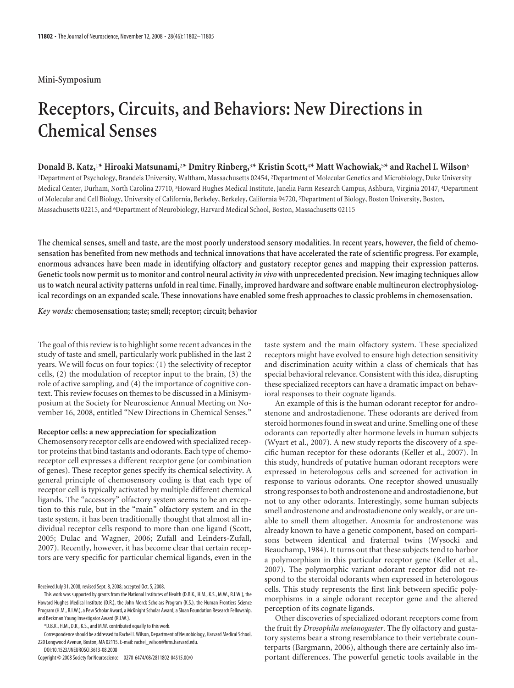# **Mini-Symposium**

# **Receptors, Circuits, and Behaviors: New Directions in Chemical Senses**

**Donald B. Katz,**<sup>1</sup> **\* Hiroaki Matsunami,**<sup>2</sup> **\* Dmitry Rinberg,**<sup>3</sup> **\* Kristin Scott,**<sup>4</sup> **\* Matt Wachowiak,**<sup>5</sup> **\* and Rachel I. Wilson**<sup>6</sup> 1 Department of Psychology, Brandeis University, Waltham, Massachusetts 02454, <sup>2</sup> Department of Molecular Genetics and Microbiology, Duke University Medical Center, Durham, North Carolina 27710, <sup>3</sup> Howard Hughes Medical Institute, Janelia Farm Research Campus, Ashburn, Virginia 20147, <sup>4</sup> Department of Molecular and Cell Biology, University of California, Berkeley, Berkeley, California 94720, <sup>5</sup> Department of Biology, Boston University, Boston, Massachusetts 02215, and <sup>6</sup> Department of Neurobiology, Harvard Medical School, Boston, Massachusetts 02115

**The chemical senses, smell and taste, are the most poorly understood sensory modalities. In recent years, however, the field of chemosensation has benefited from new methods and technical innovations that have accelerated the rate of scientific progress. For example, enormous advances have been made in identifying olfactory and gustatory receptor genes and mapping their expression patterns. Genetic tools now permit us to monitor and control neural activity** *in vivo* **with unprecedented precision. New imaging techniques allow us to watch neural activity patterns unfold in real time. Finally, improved hardware and software enable multineuron electrophysiological recordings on an expanded scale. These innovations have enabled some fresh approaches to classic problems in chemosensation.**

*Key words:***chemosensation; taste; smell; receptor; circuit; behavior**

The goal of this review is to highlight some recent advances in the study of taste and smell, particularly work published in the last 2 years. We will focus on four topics: (1) the selectivity of receptor cells, (2) the modulation of receptor input to the brain, (3) the role of active sampling, and (4) the importance of cognitive context. This review focuses on themes to be discussed in a Minisymposium at the Society for Neuroscience Annual Meeting on November 16, 2008, entitled "New Directions in Chemical Senses."

# **Receptor cells: a new appreciation for specialization**

Chemosensory receptor cells are endowed with specialized receptor proteins that bind tastants and odorants. Each type of chemoreceptor cell expresses a different receptor gene (or combination of genes). These receptor genes specify its chemical selectivity. A general principle of chemosensory coding is that each type of receptor cell is typically activated by multiple different chemical ligands. The "accessory" olfactory system seems to be an exception to this rule, but in the "main" olfactory system and in the taste system, it has been traditionally thought that almost all individual receptor cells respond to more than one ligand (Scott, 2005; Dulac and Wagner, 2006; Zufall and Leinders-Zufall, 2007). Recently, however, it has become clear that certain receptors are very specific for particular chemical ligands, even in the

\*D.B.K., H.M., D.R., K.S., and M.W. contributed equally to this work.

DOI:10.1523/JNEUROSCI.3613-08.2008

Copyright © 2008 Society for Neuroscience 0270-6474/08/2811802-04\$15.00/0

taste system and the main olfactory system. These specialized receptors might have evolved to ensure high detection sensitivity and discrimination acuity within a class of chemicals that has special behavioral relevance. Consistent with this idea, disrupting these specialized receptors can have a dramatic impact on behavioral responses to their cognate ligands.

An example of this is the human odorant receptor for androstenone and androstadienone. These odorants are derived from steroid hormones found in sweat and urine. Smelling one of these odorants can reportedly alter hormone levels in human subjects (Wyart et al., 2007). A new study reports the discovery of a specific human receptor for these odorants (Keller et al., 2007). In this study, hundreds of putative human odorant receptors were expressed in heterologous cells and screened for activation in response to various odorants. One receptor showed unusually strong responses to both androstenone and androstadienone, but not to any other odorants. Interestingly, some human subjects smell androstenone and androstadienone only weakly, or are unable to smell them altogether. Anosmia for androstenone was already known to have a genetic component, based on comparisons between identical and fraternal twins (Wysocki and Beauchamp, 1984). It turns out that these subjects tend to harbor a polymorphism in this particular receptor gene (Keller et al., 2007). The polymorphic variant odorant receptor did not respond to the steroidal odorants when expressed in heterologous cells. This study represents the first link between specific polymorphisms in a single odorant receptor gene and the altered perception of its cognate ligands.

Other discoveries of specialized odorant receptors come from the fruit fly *Drosophila melanogaster*. The fly olfactory and gustatory systems bear a strong resemblance to their vertebrate counterparts (Bargmann, 2006), although there are certainly also important differences. The powerful genetic tools available in the

Received July 31, 2008; revised Sept. 8, 2008; accepted Oct. 5, 2008.

This work was supported by grants from the National Institutes of Health (D.B.K., H.M., K.S., M.W., R.I.W.), the Howard Hughes Medical Institute (D.R.), the John Merck Scholars Program (K.S.), the Human Frontiers Science Program (H.M., R.I.W.), a Pew Scholar Award, a McKnight Scholar Award, a Sloan Foundation Research Fellowship, and Beckman Young Investigator Award (R.I.W.).

Correspondence should be addressed to Rachel I. Wilson, Department of Neurobiology, Harvard Medical School, 220 Longwood Avenue, Boston, MA 02115. E-mail: rachel\_wilson@hms.harvard.edu.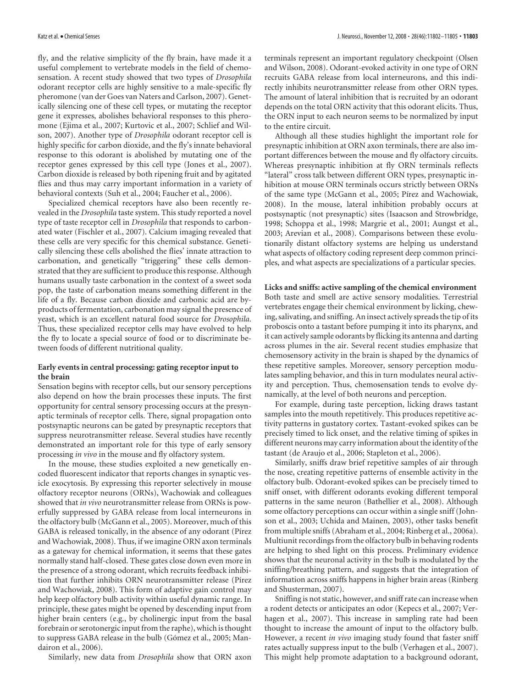fly, and the relative simplicity of the fly brain, have made it a useful complement to vertebrate models in the field of chemosensation. A recent study showed that two types of *Drosophila* odorant receptor cells are highly sensitive to a male-specific fly pheromone (van der Goes van Naters and Carlson, 2007). Genetically silencing one of these cell types, or mutating the receptor gene it expresses, abolishes behavioral responses to this pheromone (Ejima et al., 2007; Kurtovic et al., 2007; Schlief and Wilson, 2007). Another type of *Drosophila* odorant receptor cell is highly specific for carbon dioxide, and the fly's innate behavioral response to this odorant is abolished by mutating one of the receptor genes expressed by this cell type (Jones et al., 2007). Carbon dioxide is released by both ripening fruit and by agitated flies and thus may carry important information in a variety of behavioral contexts (Suh et al., 2004; Faucher et al., 2006).

Specialized chemical receptors have also been recently revealed in the *Drosophila* taste system. This study reported a novel type of taste receptor cell in *Drosophila* that responds to carbonated water (Fischler et al., 2007). Calcium imaging revealed that these cells are very specific for this chemical substance. Genetically silencing these cells abolished the flies' innate attraction to carbonation, and genetically "triggering" these cells demonstrated that they are sufficient to produce this response. Although humans usually taste carbonation in the context of a sweet soda pop, the taste of carbonation means something different in the life of a fly. Because carbon dioxide and carbonic acid are byproducts of fermentation, carbonation may signal the presence of yeast, which is an excellent natural food source for *Drosophila*. Thus, these specialized receptor cells may have evolved to help the fly to locate a special source of food or to discriminate between foods of different nutritional quality.

# **Early events in central processing: gating receptor input to the brain**

Sensation begins with receptor cells, but our sensory perceptions also depend on how the brain processes these inputs. The first opportunity for central sensory processing occurs at the presynaptic terminals of receptor cells. There, signal propagation onto postsynaptic neurons can be gated by presynaptic receptors that suppress neurotransmitter release. Several studies have recently demonstrated an important role for this type of early sensory processing *in vivo* in the mouse and fly olfactory system.

In the mouse, these studies exploited a new genetically encoded fluorescent indicator that reports changes in synaptic vesicle exocytosis. By expressing this reporter selectively in mouse olfactory receptor neurons (ORNs), Wachowiak and colleagues showed that *in vivo* neurotransmitter release from ORNs is powerfully suppressed by GABA release from local interneurons in the olfactory bulb (McGann et al., 2005). Moreover, much of this GABA is released tonically, in the absence of any odorant (Pírez and Wachowiak, 2008). Thus, if we imagine ORN axon terminals as a gateway for chemical information, it seems that these gates normally stand half-closed. These gates close down even more in the presence of a strong odorant, which recruits feedback inhibition that further inhibits ORN neurotransmitter release (Pírez and Wachowiak, 2008). This form of adaptive gain control may help keep olfactory bulb activity within useful dynamic range. In principle, these gates might be opened by descending input from higher brain centers (e.g., by cholinergic input from the basal forebrain or serotonergic input from the raphe), which is thought to suppress GABA release in the bulb (Gómez et al., 2005; Mandairon et al., 2006).

Similarly, new data from *Drosophila* show that ORN axon

terminals represent an important regulatory checkpoint (Olsen and Wilson, 2008). Odorant-evoked activity in one type of ORN recruits GABA release from local interneurons, and this indirectly inhibits neurotransmitter release from other ORN types. The amount of lateral inhibition that is recruited by an odorant depends on the total ORN activity that this odorant elicits. Thus, the ORN input to each neuron seems to be normalized by input to the entire circuit.

Although all these studies highlight the important role for presynaptic inhibition at ORN axon terminals, there are also important differences between the mouse and fly olfactory circuits. Whereas presynaptic inhibition at fly ORN terminals reflects "lateral" cross talk between different ORN types, presynaptic inhibition at mouse ORN terminals occurs strictly between ORNs of the same type (McGann et al., 2005; Pírez and Wachowiak, 2008). In the mouse, lateral inhibition probably occurs at postsynaptic (not presynaptic) sites (Isaacson and Strowbridge, 1998; Schoppa et al., 1998; Margrie et al., 2001; Aungst et al., 2003; Arevian et al., 2008). Comparisons between these evolutionarily distant olfactory systems are helping us understand what aspects of olfactory coding represent deep common principles, and what aspects are specializations of a particular species.

#### **Licks and sniffs: active sampling of the chemical environment**

Both taste and smell are active sensory modalities. Terrestrial vertebrates engage their chemical environment by licking, chewing, salivating, and sniffing. An insect actively spreads the tip of its proboscis onto a tastant before pumping it into its pharynx, and it can actively sample odorants by flicking its antenna and darting across plumes in the air. Several recent studies emphasize that chemosensory activity in the brain is shaped by the dynamics of these repetitive samples. Moreover, sensory perception modulates sampling behavior, and this in turn modulates neural activity and perception. Thus, chemosensation tends to evolve dynamically, at the level of both neurons and perception.

For example, during taste perception, licking draws tastant samples into the mouth repetitively. This produces repetitive activity patterns in gustatory cortex. Tastant-evoked spikes can be precisely timed to lick onset, and the relative timing of spikes in different neurons may carry information about the identity of the tastant (de Araujo et al., 2006; Stapleton et al., 2006).

Similarly, sniffs draw brief repetitive samples of air through the nose, creating repetitive patterns of ensemble activity in the olfactory bulb. Odorant-evoked spikes can be precisely timed to sniff onset, with different odorants evoking different temporal patterns in the same neuron (Bathellier et al., 2008). Although some olfactory perceptions can occur within a single sniff (Johnson et al., 2003; Uchida and Mainen, 2003), other tasks benefit from multiple sniffs (Abraham et al., 2004; Rinberg et al., 2006a). Multiunit recordings from the olfactory bulb in behaving rodents are helping to shed light on this process. Preliminary evidence shows that the neuronal activity in the bulb is modulated by the sniffing/breathing pattern, and suggests that the integration of information across sniffs happens in higher brain areas (Rinberg and Shusterman, 2007).

Sniffing is not static, however, and sniff rate can increase when a rodent detects or anticipates an odor (Kepecs et al., 2007; Verhagen et al., 2007). This increase in sampling rate had been thought to increase the amount of input to the olfactory bulb. However, a recent *in vivo* imaging study found that faster sniff rates actually suppress input to the bulb (Verhagen et al., 2007). This might help promote adaptation to a background odorant,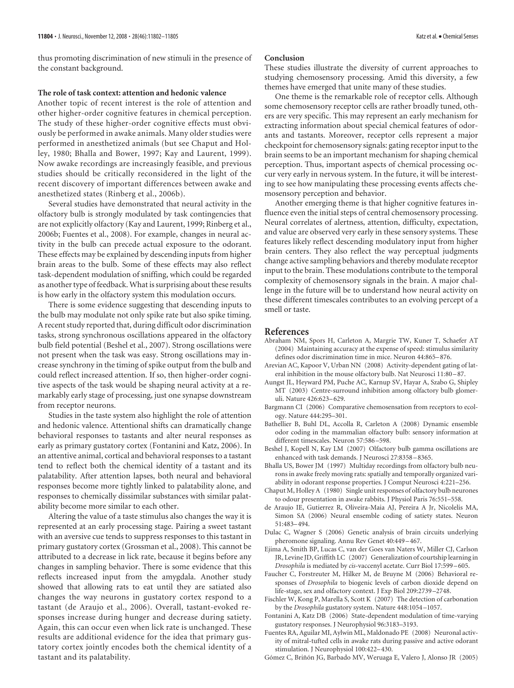thus promoting discrimination of new stimuli in the presence of the constant background.

### **The role of task context: attention and hedonic valence**

Another topic of recent interest is the role of attention and other higher-order cognitive features in chemical perception. The study of these higher-order cognitive effects must obviously be performed in awake animals. Many older studies were performed in anesthetized animals (but see Chaput and Holley, 1980; Bhalla and Bower, 1997; Kay and Laurent, 1999). Now awake recordings are increasingly feasible, and previous studies should be critically reconsidered in the light of the recent discovery of important differences between awake and anesthetized states (Rinberg et al., 2006b).

Several studies have demonstrated that neural activity in the olfactory bulb is strongly modulated by task contingencies that are not explicitly olfactory (Kay and Laurent, 1999; Rinberg et al., 2006b; Fuentes et al., 2008). For example, changes in neural activity in the bulb can precede actual exposure to the odorant. These effects may be explained by descending inputs from higher brain areas to the bulb. Some of these effects may also reflect task-dependent modulation of sniffing, which could be regarded as another type of feedback.What is surprising about these results is how early in the olfactory system this modulation occurs.

There is some evidence suggesting that descending inputs to the bulb may modulate not only spike rate but also spike timing. A recent study reported that, during difficult odor discrimination tasks, strong synchronous oscillations appeared in the olfactory bulb field potential (Beshel et al., 2007). Strong oscillations were not present when the task was easy. Strong oscillations may increase synchrony in the timing of spike output from the bulb and could reflect increased attention. If so, then higher-order cognitive aspects of the task would be shaping neural activity at a remarkably early stage of processing, just one synapse downstream from receptor neurons.

Studies in the taste system also highlight the role of attention and hedonic valence. Attentional shifts can dramatically change behavioral responses to tastants and alter neural responses as early as primary gustatory cortex (Fontanini and Katz, 2006). In an attentive animal, cortical and behavioral responses to a tastant tend to reflect both the chemical identity of a tastant and its palatability. After attention lapses, both neural and behavioral responses become more tightly linked to palatability alone, and responses to chemically dissimilar substances with similar palatability become more similar to each other.

Altering the value of a taste stimulus also changes the way it is represented at an early processing stage. Pairing a sweet tastant with an aversive cue tends to suppress responses to this tastant in primary gustatory cortex (Grossman et al., 2008). This cannot be attributed to a decrease in lick rate, because it begins before any changes in sampling behavior. There is some evidence that this reflects increased input from the amygdala. Another study showed that allowing rats to eat until they are satiated also changes the way neurons in gustatory cortex respond to a tastant (de Araujo et al., 2006). Overall, tastant-evoked responses increase during hunger and decrease during satiety. Again, this can occur even when lick rate is unchanged. These results are additional evidence for the idea that primary gustatory cortex jointly encodes both the chemical identity of a tastant and its palatability.

#### **Conclusion**

These studies illustrate the diversity of current approaches to studying chemosensory processing. Amid this diversity, a few themes have emerged that unite many of these studies.

One theme is the remarkable role of receptor cells. Although some chemosensory receptor cells are rather broadly tuned, others are very specific. This may represent an early mechanism for extracting information about special chemical features of odorants and tastants. Moreover, receptor cells represent a major checkpoint for chemosensory signals: gating receptor input to the brain seems to be an important mechanism for shaping chemical perception. Thus, important aspects of chemical processing occur very early in nervous system. In the future, it will be interesting to see how manipulating these processing events affects chemosensory perception and behavior.

Another emerging theme is that higher cognitive features influence even the initial steps of central chemosensory processing. Neural correlates of alertness, attention, difficulty, expectation, and value are observed very early in these sensory systems. These features likely reflect descending modulatory input from higher brain centers. They also reflect the way perceptual judgments change active sampling behaviors and thereby modulate receptor input to the brain. These modulations contribute to the temporal complexity of chemosensory signals in the brain. A major challenge in the future will be to understand how neural activity on these different timescales contributes to an evolving percept of a smell or taste.

#### **References**

- Abraham NM, Spors H, Carleton A, Margrie TW, Kuner T, Schaefer AT (2004) Maintaining accuracy at the expense of speed: stimulus similarity defines odor discrimination time in mice. Neuron 44:865–876.
- Arevian AC, Kapoor V, Urban NN (2008) Activity-dependent gating of lateral inhibition in the mouse olfactory bulb. Nat Neurosci 11:80 –87.
- Aungst JL, Heyward PM, Puche AC, Karnup SV, Hayar A, Szabo G, Shipley MT (2003) Centre-surround inhibition among olfactory bulb glomeruli. Nature 426:623–629.
- Bargmann CI (2006) Comparative chemosensation from receptors to ecology. Nature 444:295–301.
- Bathellier B, Buhl DL, Accolla R, Carleton A (2008) Dynamic ensemble odor coding in the mammalian olfactory bulb: sensory information at different timescales. Neuron 57:586 –598.
- Beshel J, Kopell N, Kay LM (2007) Olfactory bulb gamma oscillations are enhanced with task demands. J Neurosci 27:8358 –8365.
- Bhalla US, Bower JM (1997) Multiday recordings from olfactory bulb neurons in awake freely moving rats: spatially and temporally organized variability in odorant response properties. J Comput Neurosci 4:221–256.
- Chaput M, Holley A (1980) Single unit responses of olfactory bulb neurones to odour presentation in awake rabbits. J Physiol Paris 76:551–558.
- de Araujo IE, Gutierrez R, Oliveira-Maia AJ, Pereira A Jr, Nicolelis MA, Simon SA (2006) Neural ensemble coding of satiety states. Neuron 51:483–494.
- Dulac C, Wagner S (2006) Genetic analysis of brain circuits underlying pheromone signaling. Annu Rev Genet 40:449 –467.
- Ejima A, Smith BP, Lucas C, van der Goes van Naters W, Miller CJ, Carlson JR, Levine JD, Griffith LC (2007) Generalization of courtship learning in *Drosophila* is mediated by *cis*-vaccenyl acetate. Curr Biol 17:599 –605.
- Faucher C, Forstreuter M, Hilker M, de Bruyne M (2006) Behavioral responses of *Drosophila* to biogenic levels of carbon dioxide depend on life-stage, sex and olfactory context. J Exp Biol 209:2739 –2748.
- Fischler W, Kong P, Marella S, Scott K (2007) The detection of carbonation by the *Drosophila* gustatory system. Nature 448:1054 –1057.
- Fontanini A, Katz DB (2006) State-dependent modulation of time-varying gustatory responses. J Neurophysiol 96:3183–3193.
- Fuentes RA, Aguilar MI, Aylwin ML, Maldonado PE (2008) Neuronal activity of mitral-tufted cells in awake rats during passive and active odorant stimulation. J Neurophysiol 100:422–430.
- Gómez C, Briñón JG, Barbado MV, Weruaga E, Valero J, Alonso JR (2005)